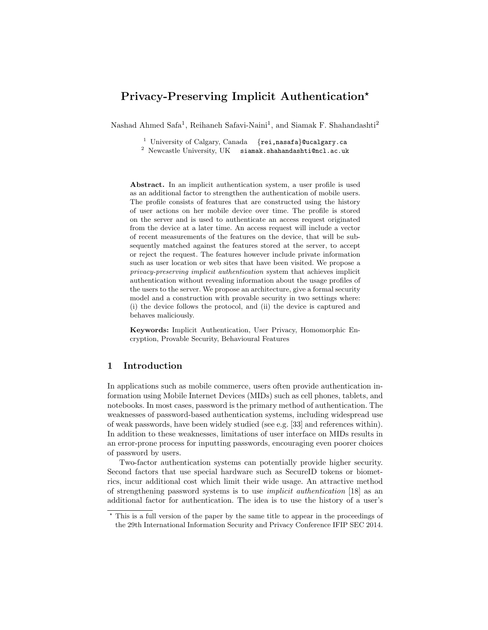# Privacy-Preserving Implicit Authentication\*

Nashad Ahmed Safa<sup>1</sup>, Reihaneh Safavi-Naini<sup>1</sup>, and Siamak F. Shahandashti<sup>2</sup>

<sup>1</sup> University of Calgary, Canada { $rei$ , nasafa}@ucalgary.ca

 $^2$  Newcastle University, UK siamak.shahandashti@ncl.ac.uk

Abstract. In an implicit authentication system, a user profile is used as an additional factor to strengthen the authentication of mobile users. The profile consists of features that are constructed using the history of user actions on her mobile device over time. The profile is stored on the server and is used to authenticate an access request originated from the device at a later time. An access request will include a vector of recent measurements of the features on the device, that will be subsequently matched against the features stored at the server, to accept or reject the request. The features however include private information such as user location or web sites that have been visited. We propose a privacy-preserving implicit authentication system that achieves implicit authentication without revealing information about the usage profiles of the users to the server. We propose an architecture, give a formal security model and a construction with provable security in two settings where: (i) the device follows the protocol, and (ii) the device is captured and behaves maliciously.

Keywords: Implicit Authentication, User Privacy, Homomorphic Encryption, Provable Security, Behavioural Features

# 1 Introduction

In applications such as mobile commerce, users often provide authentication information using Mobile Internet Devices (MIDs) such as cell phones, tablets, and notebooks. In most cases, password is the primary method of authentication. The weaknesses of password-based authentication systems, including widespread use of weak passwords, have been widely studied (see e.g. [33] and references within). In addition to these weaknesses, limitations of user interface on MIDs results in an error-prone process for inputting passwords, encouraging even poorer choices of password by users.

Two-factor authentication systems can potentially provide higher security. Second factors that use special hardware such as SecureID tokens or biometrics, incur additional cost which limit their wide usage. An attractive method of strengthening password systems is to use implicit authentication [18] as an additional factor for authentication. The idea is to use the history of a user's

<sup>?</sup> This is a full version of the paper by the same title to appear in the proceedings of the 29th International Information Security and Privacy Conference IFIP SEC 2014.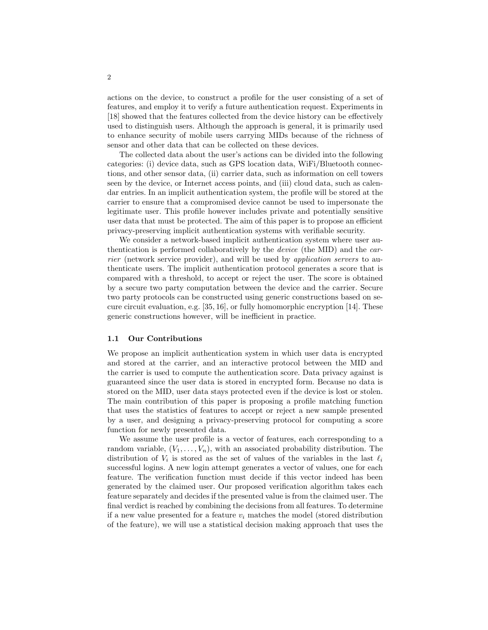actions on the device, to construct a profile for the user consisting of a set of features, and employ it to verify a future authentication request. Experiments in [18] showed that the features collected from the device history can be effectively used to distinguish users. Although the approach is general, it is primarily used to enhance security of mobile users carrying MIDs because of the richness of sensor and other data that can be collected on these devices.

The collected data about the user's actions can be divided into the following categories: (i) device data, such as GPS location data, WiFi/Bluetooth connections, and other sensor data, (ii) carrier data, such as information on cell towers seen by the device, or Internet access points, and (iii) cloud data, such as calendar entries. In an implicit authentication system, the profile will be stored at the carrier to ensure that a compromised device cannot be used to impersonate the legitimate user. This profile however includes private and potentially sensitive user data that must be protected. The aim of this paper is to propose an efficient privacy-preserving implicit authentication systems with verifiable security.

We consider a network-based implicit authentication system where user authentication is performed collaboratively by the device (the MID) and the carrier (network service provider), and will be used by application servers to authenticate users. The implicit authentication protocol generates a score that is compared with a threshold, to accept or reject the user. The score is obtained by a secure two party computation between the device and the carrier. Secure two party protocols can be constructed using generic constructions based on secure circuit evaluation, e.g. [35, 16], or fully homomorphic encryption [14]. These generic constructions however, will be inefficient in practice.

#### 1.1 Our Contributions

We propose an implicit authentication system in which user data is encrypted and stored at the carrier, and an interactive protocol between the MID and the carrier is used to compute the authentication score. Data privacy against is guaranteed since the user data is stored in encrypted form. Because no data is stored on the MID, user data stays protected even if the device is lost or stolen. The main contribution of this paper is proposing a profile matching function that uses the statistics of features to accept or reject a new sample presented by a user, and designing a privacy-preserving protocol for computing a score function for newly presented data.

We assume the user profile is a vector of features, each corresponding to a random variable,  $(V_1, \ldots, V_n)$ , with an associated probability distribution. The distribution of  $V_i$  is stored as the set of values of the variables in the last  $\ell_i$ successful logins. A new login attempt generates a vector of values, one for each feature. The verification function must decide if this vector indeed has been generated by the claimed user. Our proposed verification algorithm takes each feature separately and decides if the presented value is from the claimed user. The final verdict is reached by combining the decisions from all features. To determine if a new value presented for a feature  $v_i$  matches the model (stored distribution of the feature), we will use a statistical decision making approach that uses the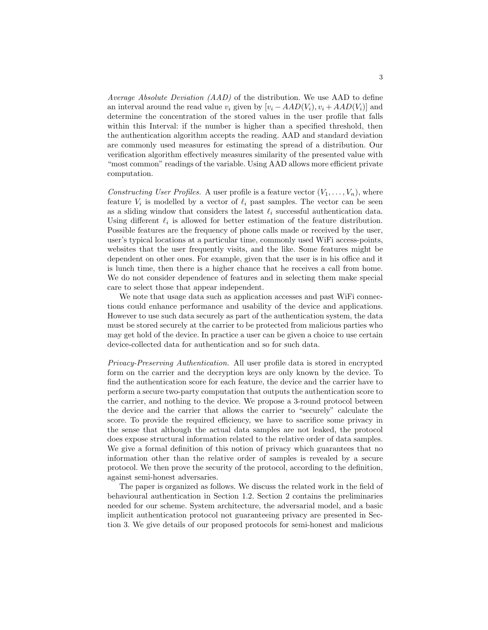Average Absolute Deviation  $(AAD)$  of the distribution. We use AAD to define an interval around the read value  $v_i$  given by  $[v_i - AAD(V_i), v_i + AAD(V_i)]$  and determine the concentration of the stored values in the user profile that falls within this Interval: if the number is higher than a specified threshold, then the authentication algorithm accepts the reading. AAD and standard deviation are commonly used measures for estimating the spread of a distribution. Our verification algorithm effectively measures similarity of the presented value with "most common" readings of the variable. Using AAD allows more efficient private computation.

Constructing User Profiles. A user profile is a feature vector  $(V_1, \ldots, V_n)$ , where feature  $V_i$  is modelled by a vector of  $\ell_i$  past samples. The vector can be seen as a sliding window that considers the latest  $\ell_i$  successful authentication data. Using different  $\ell_i$  is allowed for better estimation of the feature distribution. Possible features are the frequency of phone calls made or received by the user, user's typical locations at a particular time, commonly used WiFi access-points, websites that the user frequently visits, and the like. Some features might be dependent on other ones. For example, given that the user is in his office and it is lunch time, then there is a higher chance that he receives a call from home. We do not consider dependence of features and in selecting them make special care to select those that appear independent.

We note that usage data such as application accesses and past WiFi connections could enhance performance and usability of the device and applications. However to use such data securely as part of the authentication system, the data must be stored securely at the carrier to be protected from malicious parties who may get hold of the device. In practice a user can be given a choice to use certain device-collected data for authentication and so for such data.

Privacy-Preserving Authentication. All user profile data is stored in encrypted form on the carrier and the decryption keys are only known by the device. To find the authentication score for each feature, the device and the carrier have to perform a secure two-party computation that outputs the authentication score to the carrier, and nothing to the device. We propose a 3-round protocol between the device and the carrier that allows the carrier to "securely" calculate the score. To provide the required efficiency, we have to sacrifice some privacy in the sense that although the actual data samples are not leaked, the protocol does expose structural information related to the relative order of data samples. We give a formal definition of this notion of privacy which guarantees that no information other than the relative order of samples is revealed by a secure protocol. We then prove the security of the protocol, according to the definition, against semi-honest adversaries.

The paper is organized as follows. We discuss the related work in the field of behavioural authentication in Section 1.2. Section 2 contains the preliminaries needed for our scheme. System architecture, the adversarial model, and a basic implicit authentication protocol not guaranteeing privacy are presented in Section 3. We give details of our proposed protocols for semi-honest and malicious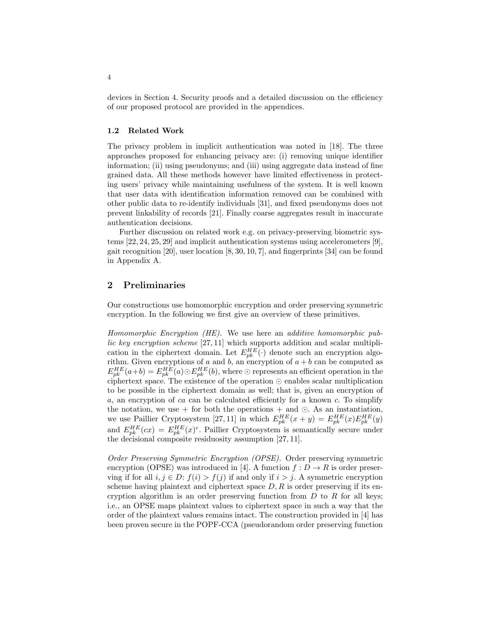devices in Section 4. Security proofs and a detailed discussion on the efficiency of our proposed protocol are provided in the appendices.

## 1.2 Related Work

The privacy problem in implicit authentication was noted in [18]. The three approaches proposed for enhancing privacy are: (i) removing unique identifier information; (ii) using pseudonyms; and (iii) using aggregate data instead of fine grained data. All these methods however have limited effectiveness in protecting users' privacy while maintaining usefulness of the system. It is well known that user data with identification information removed can be combined with other public data to re-identify individuals [31], and fixed pseudonyms does not prevent linkability of records [21]. Finally coarse aggregates result in inaccurate authentication decisions.

Further discussion on related work e.g. on privacy-preserving biometric systems [22, 24, 25, 29] and implicit authentication systems using accelerometers [9], gait recognition [20], user location [8, 30, 10, 7], and fingerprints [34] can be found in Appendix A.

## 2 Preliminaries

Our constructions use homomorphic encryption and order preserving symmetric encryption. In the following we first give an overview of these primitives.

Homomorphic Encryption (HE). We use here an additive homomorphic public key encryption scheme [27, 11] which supports addition and scalar multiplication in the ciphertext domain. Let  $E_{pk}^{HE}(\cdot)$  denote such an encryption algorithm. Given encryptions of a and b, an encryption of  $a + b$  can be computed as  $E_{pk}^{HE}(a+b) = E_{pk}^{HE}(a) \odot E_{pk}^{HE}(b)$ , where  $\odot$  represents an efficient operation in the ciphertext space. The existence of the operation  $\odot$  enables scalar multiplication to be possible in the ciphertext domain as well; that is, given an encryption of a, an encryption of ca can be calculated efficiently for a known c. To simplify the notation, we use  $+$  for both the operations  $+$  and  $\odot$ . As an instantiation, we use Paillier Cryptosystem [27, 11] in which  $E_{pk}^{HE}(x+y) = E_{pk}^{HE}(x)E_{pk}^{HE}(y)$ and  $E_{pk}^{HE}(cx) = E_{pk}^{HE}(x)^c$ . Paillier Cryptosystem is semantically secure under the decisional composite residuosity assumption [27, 11].

Order Preserving Symmetric Encryption (OPSE). Order preserving symmetric encryption (OPSE) was introduced in [4]. A function  $f: D \to R$  is order preserving if for all  $i, j \in D$ :  $f(i) > f(j)$  if and only if  $i > j$ . A symmetric encryption scheme having plaintext and ciphertext space  $D, R$  is order preserving if its encryption algorithm is an order preserving function from  $D$  to  $R$  for all keys; i.e., an OPSE maps plaintext values to ciphertext space in such a way that the order of the plaintext values remains intact. The construction provided in [4] has been proven secure in the POPF-CCA (pseudorandom order preserving function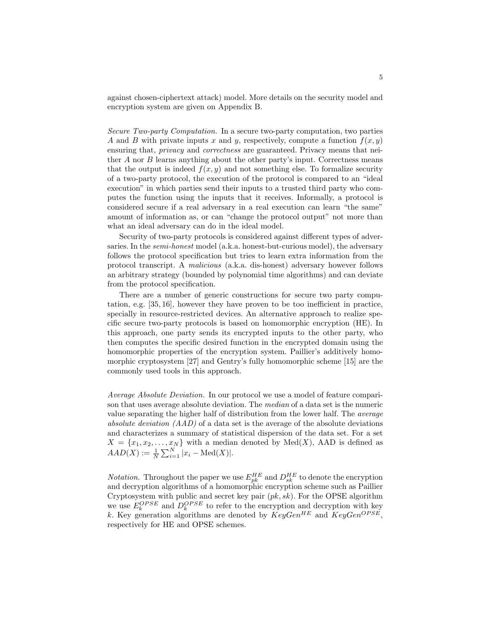against chosen-ciphertext attack) model. More details on the security model and encryption system are given on Appendix B.

Secure Two-party Computation. In a secure two-party computation, two parties A and B with private inputs x and y, respectively, compute a function  $f(x, y)$ ensuring that, *privacy* and *correctness* are guaranteed. Privacy means that neither A nor B learns anything about the other party's input. Correctness means that the output is indeed  $f(x, y)$  and not something else. To formalize security of a two-party protocol, the execution of the protocol is compared to an "ideal execution" in which parties send their inputs to a trusted third party who computes the function using the inputs that it receives. Informally, a protocol is considered secure if a real adversary in a real execution can learn "the same" amount of information as, or can "change the protocol output" not more than what an ideal adversary can do in the ideal model.

Security of two-party protocols is considered against different types of adversaries. In the *semi-honest* model (a.k.a. honest-but-curious model), the adversary follows the protocol specification but tries to learn extra information from the protocol transcript. A malicious (a.k.a. dis-honest) adversary however follows an arbitrary strategy (bounded by polynomial time algorithms) and can deviate from the protocol specification.

There are a number of generic constructions for secure two party computation, e.g. [35, 16], however they have proven to be too inefficient in practice, specially in resource-restricted devices. An alternative approach to realize specific secure two-party protocols is based on homomorphic encryption (HE). In this approach, one party sends its encrypted inputs to the other party, who then computes the specific desired function in the encrypted domain using the homomorphic properties of the encryption system. Paillier's additively homomorphic cryptosystem [27] and Gentry's fully homomorphic scheme [15] are the commonly used tools in this approach.

Average Absolute Deviation. In our protocol we use a model of feature comparison that uses average absolute deviation. The median of a data set is the numeric value separating the higher half of distribution from the lower half. The average absolute deviation (AAD) of a data set is the average of the absolute deviations and characterizes a summary of statistical dispersion of the data set. For a set  $X = \{x_1, x_2, \ldots, x_N\}$  with a median denoted by  $Med(X)$ , AAD is defined as  $AAD(X) := \frac{1}{N} \sum_{i=1}^{N} |x_i - \text{Med}(X)|.$ 

*Notation*. Throughout the paper we use  $E_{pk}^{HE}$  and  $D_{sk}^{HE}$  to denote the encryption and decryption algorithms of a homomorphic encryption scheme such as Paillier Cryptosystem with public and secret key pair  $(pk, sk)$ . For the OPSE algorithm we use  $E_k^{OPSE}$  and  $D_k^{OPSE}$  to refer to the encryption and decryption with key k. Key generation algorithms are denoted by  $KeyGen^{HE}$  and  $KeyGen^{OPSE}$ , respectively for HE and OPSE schemes.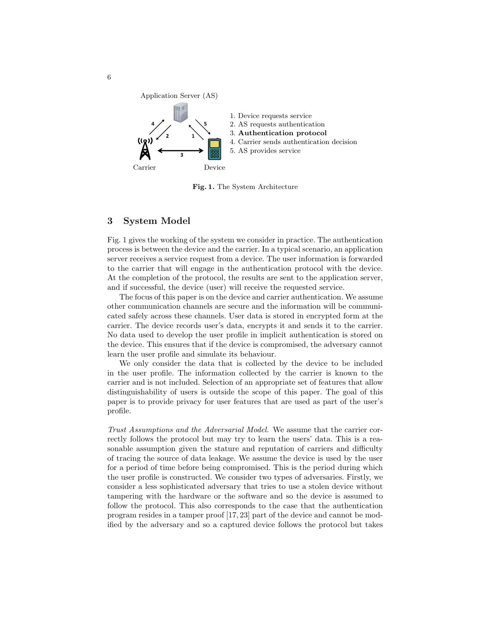

Fig. 1. The System Architecture

## 3 System Model

Fig. 1 gives the working of the system we consider in practice. The authentication process is between the device and the carrier. In a typical scenario, an application server receives a service request from a device. The user information is forwarded to the carrier that will engage in the authentication protocol with the device. At the completion of the protocol, the results are sent to the application server, and if successful, the device (user) will receive the requested service.

The focus of this paper is on the device and carrier authentication. We assume other communication channels are secure and the information will be communicated safely across these channels. User data is stored in encrypted form at the carrier. The device records user's data, encrypts it and sends it to the carrier. No data used to develop the user profile in implicit authentication is stored on the device. This ensures that if the device is compromised, the adversary cannot learn the user profile and simulate its behaviour.

We only consider the data that is collected by the device to be included in the user profile. The information collected by the carrier is known to the carrier and is not included. Selection of an appropriate set of features that allow distinguishability of users is outside the scope of this paper. The goal of this paper is to provide privacy for user features that are used as part of the user's profile.

Trust Assumptions and the Adversarial Model. We assume that the carrier correctly follows the protocol but may try to learn the users' data. This is a reasonable assumption given the stature and reputation of carriers and difficulty of tracing the source of data leakage. We assume the device is used by the user for a period of time before being compromised. This is the period during which the user profile is constructed. We consider two types of adversaries. Firstly, we consider a less sophisticated adversary that tries to use a stolen device without tampering with the hardware or the software and so the device is assumed to follow the protocol. This also corresponds to the case that the authentication program resides in a tamper proof [17, 23] part of the device and cannot be modified by the adversary and so a captured device follows the protocol but takes

6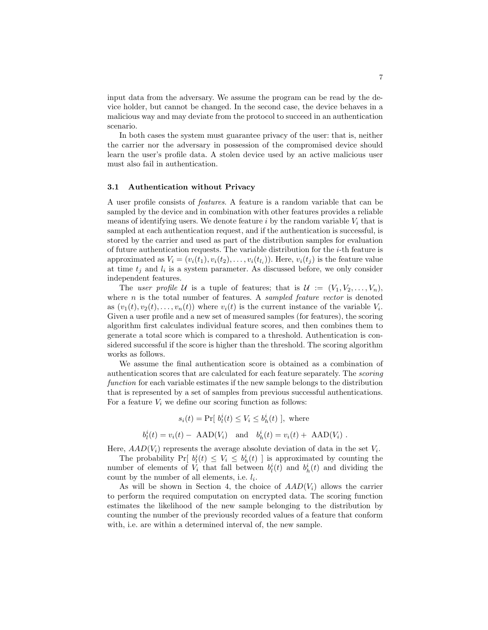input data from the adversary. We assume the program can be read by the device holder, but cannot be changed. In the second case, the device behaves in a malicious way and may deviate from the protocol to succeed in an authentication scenario.

In both cases the system must guarantee privacy of the user: that is, neither the carrier nor the adversary in possession of the compromised device should learn the user's profile data. A stolen device used by an active malicious user must also fail in authentication.

#### 3.1 Authentication without Privacy

A user profile consists of features. A feature is a random variable that can be sampled by the device and in combination with other features provides a reliable means of identifying users. We denote feature  $i$  by the random variable  $V_i$  that is sampled at each authentication request, and if the authentication is successful, is stored by the carrier and used as part of the distribution samples for evaluation of future authentication requests. The variable distribution for the  $i$ -th feature is approximated as  $V_i = (v_i(t_1), v_i(t_2), \dots, v_i(t_{l_i}))$ . Here,  $v_i(t_j)$  is the feature value at time  $t_j$  and  $l_i$  is a system parameter. As discussed before, we only consider independent features.

The user profile U is a tuple of features; that is  $U := (V_1, V_2, \ldots, V_n)$ , where  $n$  is the total number of features. A sampled feature vector is denoted as  $(v_1(t), v_2(t), \ldots, v_n(t))$  where  $v_i(t)$  is the current instance of the variable  $V_i$ . Given a user profile and a new set of measured samples (for features), the scoring algorithm first calculates individual feature scores, and then combines them to generate a total score which is compared to a threshold. Authentication is considered successful if the score is higher than the threshold. The scoring algorithm works as follows.

We assume the final authentication score is obtained as a combination of authentication scores that are calculated for each feature separately. The scoring function for each variable estimates if the new sample belongs to the distribution that is represented by a set of samples from previous successful authentications. For a feature  $V_i$  we define our scoring function as follows:

$$
s_i(t) = \Pr[ b_i^i(t) \le V_i \le b_h^i(t) ], \text{ where}
$$
  

$$
b_i^i(t) = v_i(t) - \text{AAD}(V_i) \text{ and } b_h^i(t) = v_i(t) + \text{AAD}(V_i) .
$$

Here,  $AAD(V_i)$  represents the average absolute deviation of data in the set  $V_i$ .

The probability Pr[ $b_l^i(t) \leq V_i \leq b_h^i(t)$ ] is approximated by counting the number of elements of  $V_i$  that fall between  $b_l^i(t)$  and  $b_h^i(t)$  and dividing the count by the number of all elements, i.e.  $l_i$ .

As will be shown in Section 4, the choice of  $AAD(V_i)$  allows the carrier to perform the required computation on encrypted data. The scoring function estimates the likelihood of the new sample belonging to the distribution by counting the number of the previously recorded values of a feature that conform with, i.e. are within a determined interval of, the new sample.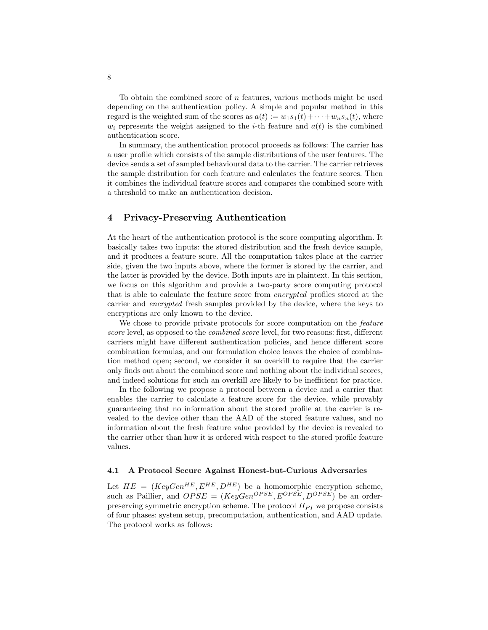To obtain the combined score of  $n$  features, various methods might be used depending on the authentication policy. A simple and popular method in this regard is the weighted sum of the scores as  $a(t) := w_1 s_1(t) + \cdots + w_n s_n(t)$ , where  $w_i$  represents the weight assigned to the *i*-th feature and  $a(t)$  is the combined authentication score.

In summary, the authentication protocol proceeds as follows: The carrier has a user profile which consists of the sample distributions of the user features. The device sends a set of sampled behavioural data to the carrier. The carrier retrieves the sample distribution for each feature and calculates the feature scores. Then it combines the individual feature scores and compares the combined score with a threshold to make an authentication decision.

## 4 Privacy-Preserving Authentication

At the heart of the authentication protocol is the score computing algorithm. It basically takes two inputs: the stored distribution and the fresh device sample, and it produces a feature score. All the computation takes place at the carrier side, given the two inputs above, where the former is stored by the carrier, and the latter is provided by the device. Both inputs are in plaintext. In this section, we focus on this algorithm and provide a two-party score computing protocol that is able to calculate the feature score from encrypted profiles stored at the carrier and encrypted fresh samples provided by the device, where the keys to encryptions are only known to the device.

We chose to provide private protocols for score computation on the *feature* score level, as opposed to the *combined score* level, for two reasons: first, different carriers might have different authentication policies, and hence different score combination formulas, and our formulation choice leaves the choice of combination method open; second, we consider it an overkill to require that the carrier only finds out about the combined score and nothing about the individual scores, and indeed solutions for such an overkill are likely to be inefficient for practice.

In the following we propose a protocol between a device and a carrier that enables the carrier to calculate a feature score for the device, while provably guaranteeing that no information about the stored profile at the carrier is revealed to the device other than the AAD of the stored feature values, and no information about the fresh feature value provided by the device is revealed to the carrier other than how it is ordered with respect to the stored profile feature values.

#### 4.1 A Protocol Secure Against Honest-but-Curious Adversaries

Let  $HE = (KeyGen^{HE}, E^{HE}, D^{HE})$  be a homomorphic encryption scheme, such as Paillier, and  $OPSE = (KeyGen^{OPSE}, E^{OPSE}, D^{OPSE})$  be an orderpreserving symmetric encryption scheme. The protocol  $\Pi_{PI}$  we propose consists of four phases: system setup, precomputation, authentication, and AAD update. The protocol works as follows: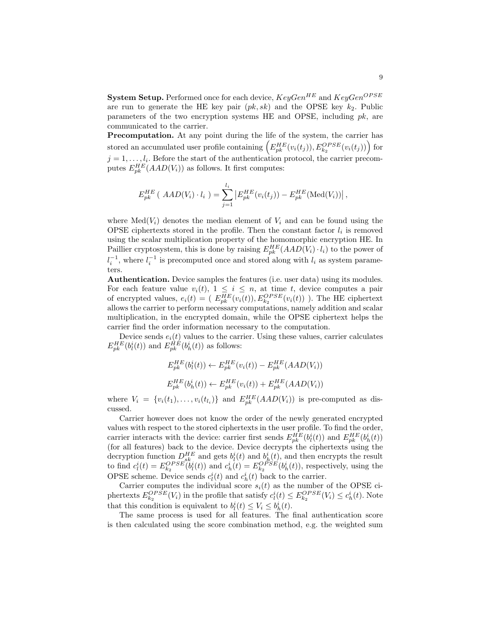**System Setup.** Performed once for each device,  $KeyGen^{HE}$  and  $KeyGen^{OPSE}$ are run to generate the HE key pair  $(pk, sk)$  and the OPSE key  $k_2$ . Public parameters of the two encryption systems HE and OPSE, including  $pk$ , are communicated to the carrier.

Precomputation. At any point during the life of the system, the carrier has stored an accumulated user profile containing  $(E_{pk}^{HE}(v_i(t_j)), E_{k_2}^{OPSE}(v_i(t_j)))$  for  $j = 1, \ldots, l_i$ . Before the start of the authentication protocol, the carrier precomputes  $E_{pk}^{HE}(AAD(V_i))$  as follows. It first computes:

$$
E_{pk}^{HE} ( AAD(V_i) \cdot l_i ) = \sum_{j=1}^{l_i} |E_{pk}^{HE}(v_i(t_j)) - E_{pk}^{HE} (Med(V_i))|,
$$

where  $Med(V_i)$  denotes the median element of  $V_i$  and can be found using the OPSE ciphertexts stored in the profile. Then the constant factor  $l_i$  is removed using the scalar multiplication property of the homomorphic encryption HE. In Paillier cryptosystem, this is done by raising  $E_{pk}^{HE}(AAD(V_i) \cdot l_i)$  to the power of  $l_i^{-1}$ , where  $l_i^{-1}$  is precomputed once and stored along with  $l_i$  as system parameters.

Authentication. Device samples the features (i.e. user data) using its modules. For each feature value  $v_i(t)$ ,  $1 \leq i \leq n$ , at time t, device computes a pair of encrypted values,  $e_i(t) = (E_{pk}^{HE}(v_i(t)), E_{k_2}^{OPSE}(v_i(t))$ . The HE ciphertext allows the carrier to perform necessary computations, namely addition and scalar multiplication, in the encrypted domain, while the OPSE ciphertext helps the carrier find the order information necessary to the computation.

Device sends  $e_i(t)$  values to the carrier. Using these values, carrier calculates  $E_{pk}^{HE}(b_l^i(t))$  and  $E_{pk}^{HE}(b_h^i(t))$  as follows:

$$
E_{pk}^{HE}(b_l^i(t)) \leftarrow E_{pk}^{HE}(v_i(t)) - E_{pk}^{HE}(AAD(V_i))
$$
  

$$
E_{pk}^{HE}(b_h^i(t)) \leftarrow E_{pk}^{HE}(v_i(t)) + E_{pk}^{HE}(AAD(V_i))
$$

where  $V_i = \{v_i(t_1), \ldots, v_i(t_{l_i})\}$  and  $E_{pk}^{HE}(AAD(V_i))$  is pre-computed as discussed.

Carrier however does not know the order of the newly generated encrypted values with respect to the stored ciphertexts in the user profile. To find the order, carrier interacts with the device: carrier first sends  $E_{pk}^{HE}(b_l^i(t))$  and  $E_{pk}^{HE}(b_h^i(t))$ (for all features) back to the device. Device decrypts the ciphertexts using the decryption function  $D_{sk}^{HE}$  and gets  $b_l^i(t)$  and  $b_h^i(t)$ , and then encrypts the result to find  $c_l^i(t) = E_{k_2}^{OPSE}(b_l^i(t))$  and  $c_h^i(t) = E_{k_2}^{OPSE}(b_h^i(t))$ , respectively, using the OPSE scheme. Device sends  $c_l^i(t)$  and  $c_h^i(t)$  back to the carrier.

Carrier computes the individual score  $s_i(t)$  as the number of the OPSE ciphertexts  $E_{k_2}^{OPSE}(V_i)$  in the profile that satisfy  $c_l^i(t) \leq E_{k_2}^{OPSE}(V_i) \leq c_h^i(t)$ . Note that this condition is equivalent to  $b_l^i(t) \leq V_i \leq b_h^i(t)$ .

The same process is used for all features. The final authentication score is then calculated using the score combination method, e.g. the weighted sum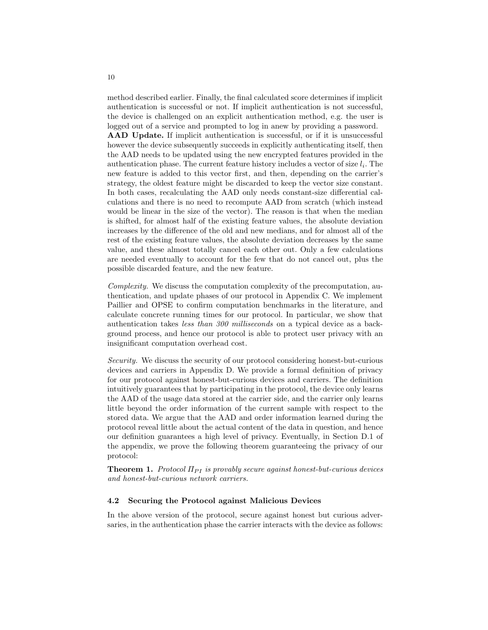method described earlier. Finally, the final calculated score determines if implicit authentication is successful or not. If implicit authentication is not successful, the device is challenged on an explicit authentication method, e.g. the user is logged out of a service and prompted to log in anew by providing a password.

AAD Update. If implicit authentication is successful, or if it is unsuccessful however the device subsequently succeeds in explicitly authenticating itself, then the AAD needs to be updated using the new encrypted features provided in the authentication phase. The current feature history includes a vector of size  $l_i$ . The new feature is added to this vector first, and then, depending on the carrier's strategy, the oldest feature might be discarded to keep the vector size constant. In both cases, recalculating the AAD only needs constant-size differential calculations and there is no need to recompute AAD from scratch (which instead would be linear in the size of the vector). The reason is that when the median is shifted, for almost half of the existing feature values, the absolute deviation increases by the difference of the old and new medians, and for almost all of the rest of the existing feature values, the absolute deviation decreases by the same value, and these almost totally cancel each other out. Only a few calculations are needed eventually to account for the few that do not cancel out, plus the possible discarded feature, and the new feature.

Complexity. We discuss the computation complexity of the precomputation, authentication, and update phases of our protocol in Appendix C. We implement Paillier and OPSE to confirm computation benchmarks in the literature, and calculate concrete running times for our protocol. In particular, we show that authentication takes less than 300 milliseconds on a typical device as a background process, and hence our protocol is able to protect user privacy with an insignificant computation overhead cost.

Security. We discuss the security of our protocol considering honest-but-curious devices and carriers in Appendix D. We provide a formal definition of privacy for our protocol against honest-but-curious devices and carriers. The definition intuitively guarantees that by participating in the protocol, the device only learns the AAD of the usage data stored at the carrier side, and the carrier only learns little beyond the order information of the current sample with respect to the stored data. We argue that the AAD and order information learned during the protocol reveal little about the actual content of the data in question, and hence our definition guarantees a high level of privacy. Eventually, in Section D.1 of the appendix, we prove the following theorem guaranteeing the privacy of our protocol:

**Theorem 1.** Protocol  $\Pi_{PI}$  is provably secure against honest-but-curious devices and honest-but-curious network carriers.

#### 4.2 Securing the Protocol against Malicious Devices

In the above version of the protocol, secure against honest but curious adversaries, in the authentication phase the carrier interacts with the device as follows: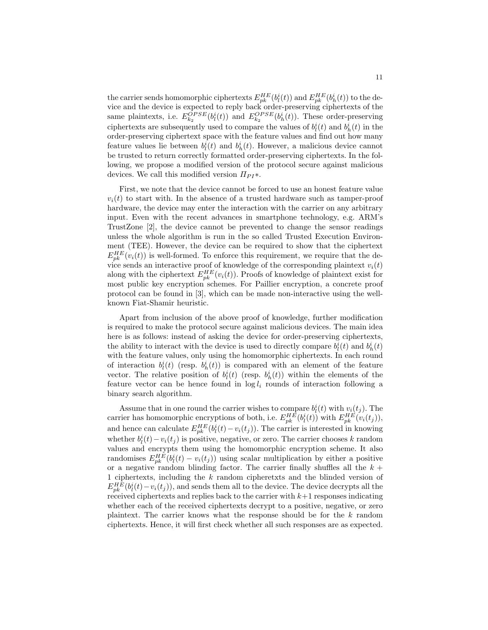the carrier sends homomorphic ciphertexts  $E_{pk}^{HE}(b_l^i(t))$  and  $E_{pk}^{HE}(b_h^i(t))$  to the device and the device is expected to reply back order-preserving ciphertexts of the same plaintexts, i.e.  $E_{k_2}^{OPSE}(b_l^i(t))$  and  $E_{k_2}^{OPSE}(b_h^i(t))$ . These order-preserving ciphertexts are subsequently used to compare the values of  $b_l^i(t)$  and  $b_h^i(t)$  in the order-preserving ciphertext space with the feature values and find out how many feature values lie between  $b_l^i(t)$  and  $b_h^i(t)$ . However, a malicious device cannot be trusted to return correctly formatted order-preserving ciphertexts. In the following, we propose a modified version of the protocol secure against malicious devices. We call this modified version  $\Pi_{PI}$ \*.

First, we note that the device cannot be forced to use an honest feature value  $v_i(t)$  to start with. In the absence of a trusted hardware such as tamper-proof hardware, the device may enter the interaction with the carrier on any arbitrary input. Even with the recent advances in smartphone technology, e.g. ARM's TrustZone [2], the device cannot be prevented to change the sensor readings unless the whole algorithm is run in the so called Trusted Execution Environment (TEE). However, the device can be required to show that the ciphertext  $E_{pk}^{HE}(v_i(t))$  is well-formed. To enforce this requirement, we require that the device sends an interactive proof of knowledge of the corresponding plaintext  $v_i(t)$ along with the ciphertext  $E_{pk}^{HE}(v_i(t))$ . Proofs of knowledge of plaintext exist for most public key encryption schemes. For Paillier encryption, a concrete proof protocol can be found in [3], which can be made non-interactive using the wellknown Fiat-Shamir heuristic.

Apart from inclusion of the above proof of knowledge, further modification is required to make the protocol secure against malicious devices. The main idea here is as follows: instead of asking the device for order-preserving ciphertexts, the ability to interact with the device is used to directly compare  $b_l^i(t)$  and  $b_h^i(t)$ with the feature values, only using the homomorphic ciphertexts. In each round of interaction  $b_l^i(t)$  (resp.  $b_h^i(t)$ ) is compared with an element of the feature vector. The relative position of  $b_l^i(t)$  (resp.  $b_h^i(t)$ ) within the elements of the feature vector can be hence found in  $log l_i$  rounds of interaction following a binary search algorithm.

Assume that in one round the carrier wishes to compare  $b_l^i(t)$  with  $v_i(t_j)$ . The carrier has homomorphic encryptions of both, i.e.  $E_{pk}^{HE}(b_l^i(t))$  with  $E_{pk}^{HE}(v_i(t_j))$ , and hence can calculate  $E_{pk}^{HE}(b_i(t) - v_i(t_j))$ . The carrier is interested in knowing whether  $b_l^i(t) - v_i(t_j)$  is positive, negative, or zero. The carrier chooses k random values and encrypts them using the homomorphic encryption scheme. It also randomises  $E_{pk}^{HE}(b_l^i(t) - v_i(t_j))$  using scalar multiplication by either a positive or a negative random blinding factor. The carrier finally shuffles all the  $k +$ 1 ciphertexts, including the k random cipheretxts and the blinded version of  $E_{pk}^{HE}(b_l^i(t)-v_i(t_j))$ , and sends them all to the device. The device decrypts all the received ciphertexts and replies back to the carrier with  $k+1$  responses indicating whether each of the received ciphertexts decrypt to a positive, negative, or zero plaintext. The carrier knows what the response should be for the  $k$  random ciphertexts. Hence, it will first check whether all such responses are as expected.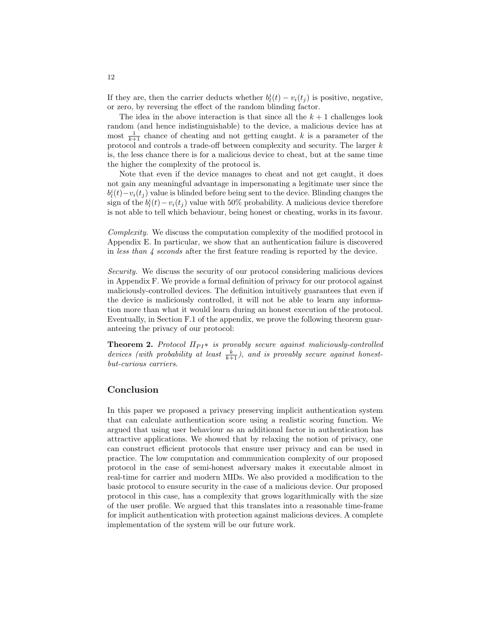If they are, then the carrier deducts whether  $b_l^i(t) - v_i(t_j)$  is positive, negative, or zero, by reversing the effect of the random blinding factor.

The idea in the above interaction is that since all the  $k + 1$  challenges look random (and hence indistinguishable) to the device, a malicious device has at most  $\frac{1}{k+1}$  chance of cheating and not getting caught. k is a parameter of the protocol and controls a trade-off between complexity and security. The larger k is, the less chance there is for a malicious device to cheat, but at the same time the higher the complexity of the protocol is.

Note that even if the device manages to cheat and not get caught, it does not gain any meaningful advantage in impersonating a legitimate user since the  $b_l^i(t)-v_i(t_j)$  value is blinded before being sent to the device. Blinding changes the sign of the  $b_l^i(t) - v_i(t_j)$  value with 50% probability. A malicious device therefore is not able to tell which behaviour, being honest or cheating, works in its favour.

Complexity. We discuss the computation complexity of the modified protocol in Appendix E. In particular, we show that an authentication failure is discovered in less than 4 seconds after the first feature reading is reported by the device.

Security. We discuss the security of our protocol considering malicious devices in Appendix F. We provide a formal definition of privacy for our protocol against maliciously-controlled devices. The definition intuitively guarantees that even if the device is maliciously controlled, it will not be able to learn any information more than what it would learn during an honest execution of the protocol. Eventually, in Section F.1 of the appendix, we prove the following theorem guaranteeing the privacy of our protocol:

**Theorem 2.** Protocol  $\Pi_{PI} *$  is provably secure against maliciously-controlled devices (with probability at least  $\frac{k}{k+1}$ ), and is provably secure against honestbut-curious carriers.

#### Conclusion

In this paper we proposed a privacy preserving implicit authentication system that can calculate authentication score using a realistic scoring function. We argued that using user behaviour as an additional factor in authentication has attractive applications. We showed that by relaxing the notion of privacy, one can construct efficient protocols that ensure user privacy and can be used in practice. The low computation and communication complexity of our proposed protocol in the case of semi-honest adversary makes it executable almost in real-time for carrier and modern MIDs. We also provided a modification to the basic protocol to ensure security in the case of a malicious device. Our proposed protocol in this case, has a complexity that grows logarithmically with the size of the user profile. We argued that this translates into a reasonable time-frame for implicit authentication with protection against malicious devices. A complete implementation of the system will be our future work.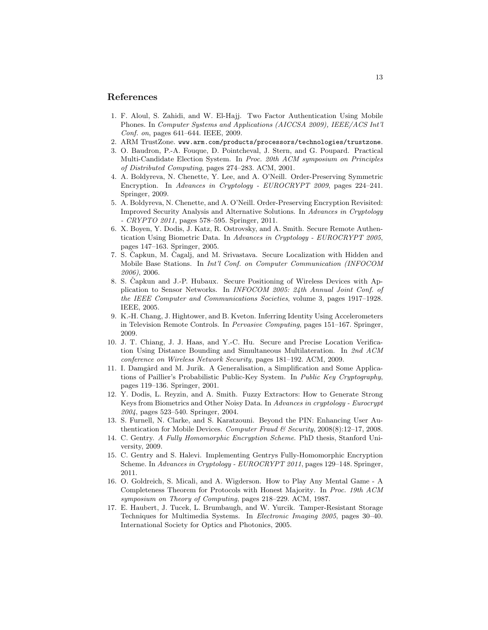## References

- 1. F. Aloul, S. Zahidi, and W. El-Hajj. Two Factor Authentication Using Mobile Phones. In Computer Systems and Applications (AICCSA 2009), IEEE/ACS Int'l Conf. on, pages 641–644. IEEE, 2009.
- 2. ARM TrustZone. www.arm.com/products/processors/technologies/trustzone.
- 3. O. Baudron, P.-A. Fouque, D. Pointcheval, J. Stern, and G. Poupard. Practical Multi-Candidate Election System. In Proc. 20th ACM symposium on Principles of Distributed Computing, pages 274–283. ACM, 2001.
- 4. A. Boldyreva, N. Chenette, Y. Lee, and A. O'Neill. Order-Preserving Symmetric Encryption. In Advances in Cryptology - EUROCRYPT 2009, pages 224–241. Springer, 2009.
- 5. A. Boldyreva, N. Chenette, and A. O'Neill. Order-Preserving Encryption Revisited: Improved Security Analysis and Alternative Solutions. In Advances in Cryptology - CRYPTO 2011, pages 578–595. Springer, 2011.
- 6. X. Boyen, Y. Dodis, J. Katz, R. Ostrovsky, and A. Smith. Secure Remote Authentication Using Biometric Data. In Advances in Cryptology - EUROCRYPT 2005, pages 147–163. Springer, 2005.
- 7. S. Čapkun, M. Čagalj, and M. Srivastava. Secure Localization with Hidden and Mobile Base Stations. In Int'l Conf. on Computer Communication (INFOCOM 2006), 2006.
- 8. S. Capkun and J.-P. Hubaux. Secure Positioning of Wireless Devices with Application to Sensor Networks. In INFOCOM 2005: 24th Annual Joint Conf. of the IEEE Computer and Communications Societies, volume 3, pages 1917–1928. IEEE, 2005.
- 9. K.-H. Chang, J. Hightower, and B. Kveton. Inferring Identity Using Accelerometers in Television Remote Controls. In Pervasive Computing, pages 151–167. Springer, 2009.
- 10. J. T. Chiang, J. J. Haas, and Y.-C. Hu. Secure and Precise Location Verification Using Distance Bounding and Simultaneous Multilateration. In 2nd ACM conference on Wireless Network Security, pages 181–192. ACM, 2009.
- 11. I. Damgård and M. Jurik. A Generalisation, a Simplification and Some Applications of Paillier's Probabilistic Public-Key System. In Public Key Cryptography, pages 119–136. Springer, 2001.
- 12. Y. Dodis, L. Reyzin, and A. Smith. Fuzzy Extractors: How to Generate Strong Keys from Biometrics and Other Noisy Data. In Advances in cryptology - Eurocrypt 2004, pages 523–540. Springer, 2004.
- 13. S. Furnell, N. Clarke, and S. Karatzouni. Beyond the PIN: Enhancing User Authentication for Mobile Devices. Computer Fraud & Security,  $2008(8):12-17$ ,  $2008$ .
- 14. C. Gentry. A Fully Homomorphic Encryption Scheme. PhD thesis, Stanford University, 2009.
- 15. C. Gentry and S. Halevi. Implementing Gentrys Fully-Homomorphic Encryption Scheme. In Advances in Cryptology - EUROCRYPT 2011, pages 129–148. Springer, 2011.
- 16. O. Goldreich, S. Micali, and A. Wigderson. How to Play Any Mental Game A Completeness Theorem for Protocols with Honest Majority. In Proc. 19th ACM symposium on Theory of Computing, pages 218–229. ACM, 1987.
- 17. E. Haubert, J. Tucek, L. Brumbaugh, and W. Yurcik. Tamper-Resistant Storage Techniques for Multimedia Systems. In Electronic Imaging 2005, pages 30–40. International Society for Optics and Photonics, 2005.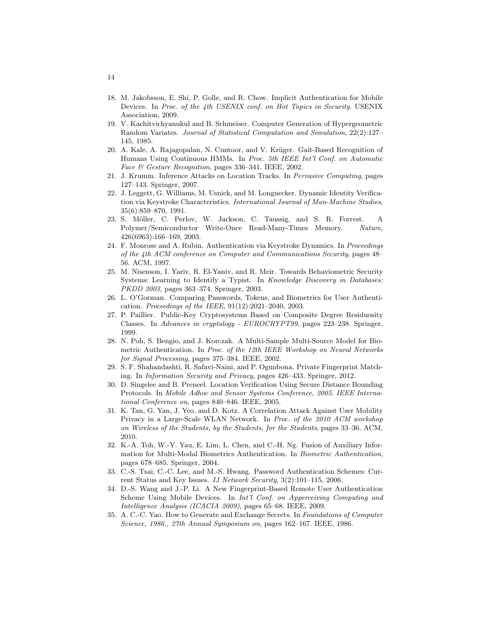- 18. M. Jakobsson, E. Shi, P. Golle, and R. Chow. Implicit Authentication for Mobile Devices. In Proc. of the 4th USENIX conf. on Hot Topics in Security. USENIX Association, 2009.
- 19. V. Kachitvichyanukul and B. Schmeiser. Computer Generation of Hypergeometric Random Variates. Journal of Statistical Computation and Simulation, 22(2):127– 145, 1985.
- 20. A. Kale, A. Rajagopalan, N. Cuntoor, and V. Krüger. Gait-Based Recognition of Humans Using Continuous HMMs. In Proc. 5th IEEE Int'l Conf. on Automatic Face & Gesture Recognition, pages 336-341. IEEE, 2002.
- 21. J. Krumm. Inference Attacks on Location Tracks. In Pervasive Computing, pages 127–143. Springer, 2007.
- 22. J. Leggett, G. Williams, M. Usnick, and M. Longnecker. Dynamic Identity Verification via Keystroke Characteristics. International Journal of Man-Machine Studies, 35(6):859–870, 1991.
- 23. S. Möller, C. Perlov, W. Jackson, C. Taussig, and S. R. Forrest. A Polymer/Semiconductor Write-Once Read-Many-Times Memory. Nature, 426(6963):166–169, 2003.
- 24. F. Monrose and A. Rubin. Authentication via Keystroke Dynamics. In Proceedings of the 4th ACM conference on Computer and Communications Security, pages 48– 56. ACM, 1997.
- 25. M. Nisenson, I. Yariv, R. El-Yaniv, and R. Meir. Towards Behaviometric Security Systems: Learning to Identify a Typist. In Knowledge Discovery in Databases: PKDD 2003, pages 363–374. Springer, 2003.
- 26. L. O'Gorman. Comparing Passwords, Tokens, and Biometrics for User Authentication. Proceedings of the IEEE, 91(12):2021–2040, 2003.
- 27. P. Paillier. Public-Key Cryptosystems Based on Composite Degree Residuosity Classes. In Advances in cryptology - EUROCRYPT99, pages 223–238. Springer, 1999.
- 28. N. Poh, S. Bengio, and J. Korczak. A Multi-Sample Multi-Source Model for Biometric Authentication. In Proc. of the 12th IEEE Workshop on Neural Networks for Signal Processing, pages 375–384. IEEE, 2002.
- 29. S. F. Shahandashti, R. Safavi-Naini, and P. Ogunbona. Private Fingerprint Matching. In Information Security and Privacy, pages 426–433. Springer, 2012.
- 30. D. Singelee and B. Preneel. Location Verification Using Secure Distance Bounding Protocols. In Mobile Adhoc and Sensor Systems Conference, 2005. IEEE International Conference on, pages 840–846. IEEE, 2005.
- 31. K. Tan, G. Yan, J. Yeo, and D. Kotz. A Correlation Attack Against User Mobility Privacy in a Large-Scale WLAN Network. In Proc. of the 2010 ACM workshop on Wireless of the Students, by the Students, for the Students, pages 33–36. ACM, 2010.
- 32. K.-A. Toh, W.-Y. Yau, E. Lim, L. Chen, and C.-H. Ng. Fusion of Auxiliary Information for Multi-Modal Biometrics Authentication. In Biometric Authentication, pages 678–685. Springer, 2004.
- 33. C.-S. Tsai, C.-C. Lee, and M.-S. Hwang. Password Authentication Schemes: Current Status and Key Issues. IJ Network Security, 3(2):101–115, 2006.
- 34. D.-S. Wang and J.-P. Li. A New Fingerprint-Based Remote User Authentication Scheme Using Mobile Devices. In *Int'l Conf. on Apperceiving Computing and* Intelligence Analysis (ICACIA 2009), pages 65–68. IEEE, 2009.
- 35. A. C.-C. Yao. How to Generate and Exchange Secrets. In Foundations of Computer Science, 1986., 27th Annual Symposium on, pages 162–167. IEEE, 1986.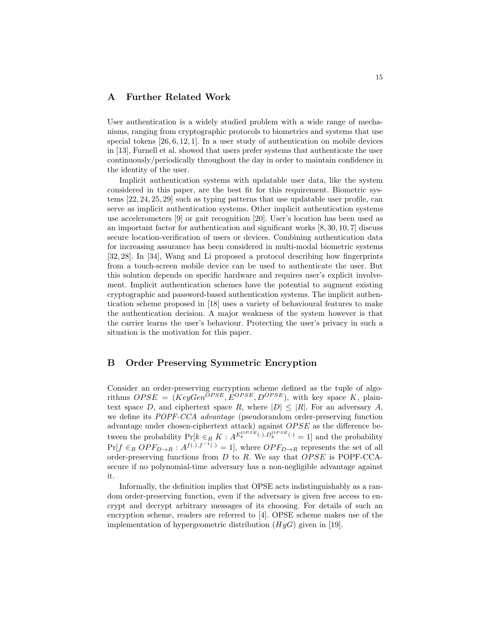## A Further Related Work

User authentication is a widely studied problem with a wide range of mechanisms, ranging from cryptographic protocols to biometrics and systems that use special tokens  $[26, 6, 12, 1]$ . In a user study of authentication on mobile devices in [13], Furnell et al. showed that users prefer systems that authenticate the user continuously/periodically throughout the day in order to maintain confidence in the identity of the user.

Implicit authentication systems with updatable user data, like the system considered in this paper, are the best fit for this requirement. Biometric systems [22, 24, 25, 29] such as typing patterns that use updatable user profile, can serve as implicit authentication systems. Other implicit authentication systems use accelerometers [9] or gait recognition [20]. User's location has been used as an important factor for authentication and significant works [8, 30, 10, 7] discuss secure location-verification of users or devices. Combining authentication data for increasing assurance has been considered in multi-modal biometric systems [32, 28]. In [34], Wang and Li proposed a protocol describing how fingerprints from a touch-screen mobile device can be used to authenticate the user. But this solution depends on specific hardware and requires user's explicit involvement. Implicit authentication schemes have the potential to augment existing cryptographic and password-based authentication systems. The implicit authentication scheme proposed in [18] uses a variety of behavioural features to make the authentication decision. A major weakness of the system however is that the carrier learns the user's behaviour. Protecting the user's privacy in such a situation is the motivation for this paper.

## B Order Preserving Symmetric Encryption

Consider an order-preserving encryption scheme defined as the tuple of algorithms  $OPSE = (KeyGen^{\O PSE}, E^{OPSE}, D^{OPSE})$ , with key space K, plaintext space D, and ciphertext space R, where  $|D| \leq |R|$ . For an adversary A, we define its POPF-CCA advantage (pseudorandom order-preserving function advantage under chosen-ciphertext attack) against  $OPSE$  as the difference between the probability  $Pr[k \in_R K : A^{E_k^{OPSE}(\cdot), D_k^{OPSE}(\cdot)} = 1]$  and the probability  $Pr[f \in_R OPF_{D\to R} : A^{f(.),f^{-1}(.)} = 1]$ , where  $OPF_{D\to R}$  represents the set of all order-preserving functions from  $D$  to  $R$ . We say that  $OPSE$  is POPF-CCAsecure if no polynomial-time adversary has a non-negligible advantage against it.

Informally, the definition implies that OPSE acts indistinguishably as a random order-preserving function, even if the adversary is given free access to encrypt and decrypt arbitrary messages of its choosing. For details of such an encryption scheme, readers are referred to [4]. OPSE scheme makes use of the implementation of hypergeometric distribution  $(HyG)$  given in [19].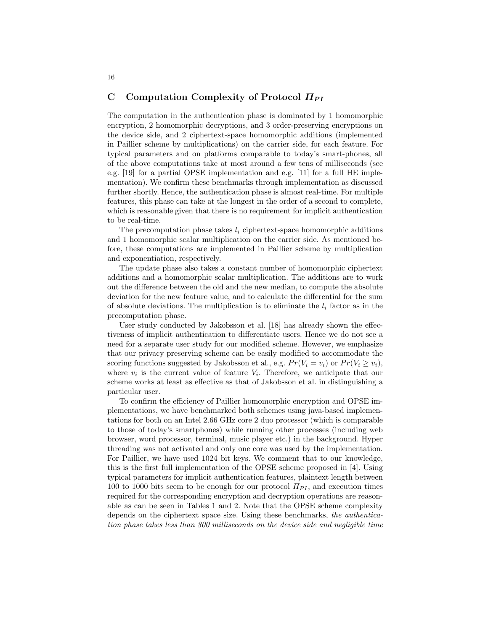## C Computation Complexity of Protocol  $\Pi_{PI}$

The computation in the authentication phase is dominated by 1 homomorphic encryption, 2 homomorphic decryptions, and 3 order-preserving encryptions on the device side, and 2 ciphertext-space homomorphic additions (implemented in Paillier scheme by multiplications) on the carrier side, for each feature. For typical parameters and on platforms comparable to today's smart-phones, all of the above computations take at most around a few tens of milliseconds (see e.g. [19] for a partial OPSE implementation and e.g. [11] for a full HE implementation). We confirm these benchmarks through implementation as discussed further shortly. Hence, the authentication phase is almost real-time. For multiple features, this phase can take at the longest in the order of a second to complete, which is reasonable given that there is no requirement for implicit authentication to be real-time.

The precomputation phase takes  $l_i$  ciphertext-space homomorphic additions and 1 homomorphic scalar multiplication on the carrier side. As mentioned before, these computations are implemented in Paillier scheme by multiplication and exponentiation, respectively.

The update phase also takes a constant number of homomorphic ciphertext additions and a homomorphic scalar multiplication. The additions are to work out the difference between the old and the new median, to compute the absolute deviation for the new feature value, and to calculate the differential for the sum of absolute deviations. The multiplication is to eliminate the  $l_i$  factor as in the precomputation phase.

User study conducted by Jakobsson et al. [18] has already shown the effectiveness of implicit authentication to differentiate users. Hence we do not see a need for a separate user study for our modified scheme. However, we emphasize that our privacy preserving scheme can be easily modified to accommodate the scoring functions suggested by Jakobsson et al., e.g.  $Pr(V_i = v_i)$  or  $Pr(V_i \geq v_i)$ , where  $v_i$  is the current value of feature  $V_i$ . Therefore, we anticipate that our scheme works at least as effective as that of Jakobsson et al. in distinguishing a particular user.

To confirm the efficiency of Paillier homomorphic encryption and OPSE implementations, we have benchmarked both schemes using java-based implementations for both on an Intel 2.66 GHz core 2 duo processor (which is comparable to those of today's smartphones) while running other processes (including web browser, word processor, terminal, music player etc.) in the background. Hyper threading was not activated and only one core was used by the implementation. For Paillier, we have used 1024 bit keys. We comment that to our knowledge, this is the first full implementation of the OPSE scheme proposed in [4]. Using typical parameters for implicit authentication features, plaintext length between 100 to 1000 bits seem to be enough for our protocol  $\Pi_{PI}$ , and execution times required for the corresponding encryption and decryption operations are reasonable as can be seen in Tables 1 and 2. Note that the OPSE scheme complexity depends on the ciphertext space size. Using these benchmarks, the authentication phase takes less than 300 milliseconds on the device side and negligible time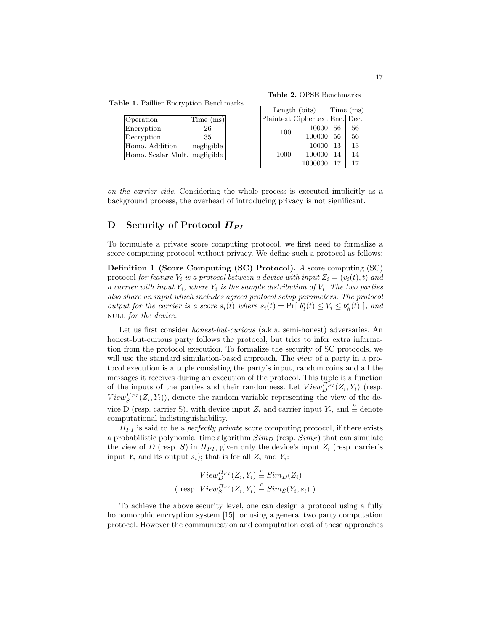Table 1. Paillier Encryption Benchmarks

|                               |            |  | Length (bits) |                                | Time (ms |    |
|-------------------------------|------------|--|---------------|--------------------------------|----------|----|
| Operation                     | Time (ms)  |  |               | Plaintext Ciphertext Enc. Dec. |          |    |
| Encryption                    | 26         |  | 100           | 10000                          | 56       | 56 |
| Decryption                    | 35         |  |               | 100000                         | 56       | 56 |
| Homo. Addition                | negligible |  | 1000          | 10000                          | 13       | 13 |
| Homo. Scalar Mult. negligible |            |  |               | 100000                         | 14       | 14 |
|                               |            |  |               | 1000000                        |          |    |

on the carrier side. Considering the whole process is executed implicitly as a background process, the overhead of introducing privacy is not significant.

# D Security of Protocol  $\Pi_{PI}$

To formulate a private score computing protocol, we first need to formalize a score computing protocol without privacy. We define such a protocol as follows:

Definition 1 (Score Computing (SC) Protocol). A score computing (SC) protocol for feature  $V_i$  is a protocol between a device with input  $Z_i = (v_i(t), t)$  and a carrier with input  $Y_i$ , where  $Y_i$  is the sample distribution of  $V_i$ . The two parties also share an input which includes agreed protocol setup parameters. The protocol output for the carrier is a score  $s_i(t)$  where  $s_i(t) = \Pr[ b_i^i(t) \le V_i \le b_h^i(t) ]$ , and null for the device.

Let us first consider *honest-but-curious* (a.k.a. semi-honest) adversaries. An honest-but-curious party follows the protocol, but tries to infer extra information from the protocol execution. To formalize the security of SC protocols, we will use the standard simulation-based approach. The *view* of a party in a protocol execution is a tuple consisting the party's input, random coins and all the messages it receives during an execution of the protocol. This tuple is a function of the inputs of the parties and their randomness. Let  $View_{D}^{H_{PI}}(Z_i, Y_i)$  (resp.  $View_S^{H_{PI}}(Z_i, Y_i)$ , denote the random variable representing the view of the device D (resp. carrier S), with device input  $Z_i$  and carrier input  $Y_i$ , and  $\stackrel{c}{\equiv}$  denote computational indistinguishability.

 $\Pi_{PI}$  is said to be a *perfectly private* score computing protocol, if there exists a probabilistic polynomial time algorithm  $Sim_D$  (resp.  $Sim_S$ ) that can simulate the view of D (resp. S) in  $\Pi_{PI}$ , given only the device's input  $Z_i$  (resp. carrier's input  $Y_i$  and its output  $s_i$ ); that is for all  $Z_i$  and  $Y_i$ :

$$
View_D^{H_{PI}}(Z_i, Y_i) \stackrel{c}{\equiv} Sim_D(Z_i)
$$
  
( resp. 
$$
View_S^{H_{PI}}(Z_i, Y_i) \stackrel{c}{\equiv} Sim_S(Y_i, s_i)
$$
)

To achieve the above security level, one can design a protocol using a fully homomorphic encryption system [15], or using a general two party computation protocol. However the communication and computation cost of these approaches

Table 2. OPSE Benchmarks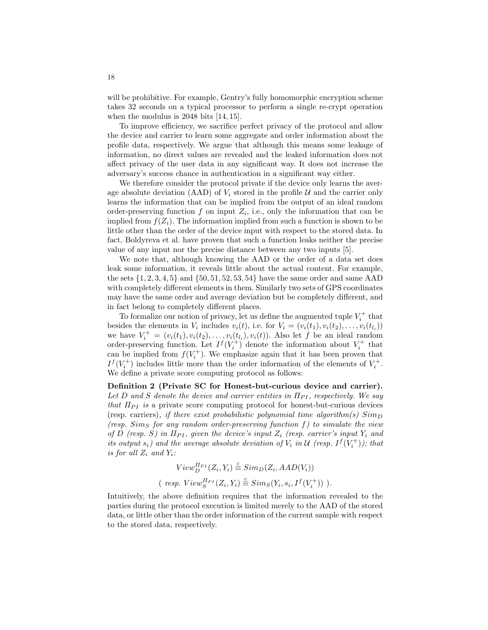will be prohibitive. For example, Gentry's fully homomorphic encryption scheme takes 32 seconds on a typical processor to perform a single re-crypt operation when the modulus is 2048 bits [14, 15].

To improve efficiency, we sacrifice perfect privacy of the protocol and allow the device and carrier to learn some aggregate and order information about the profile data, respectively. We argue that although this means some leakage of information, no direct values are revealed and the leaked information does not affect privacy of the user data in any significant way. It does not increase the adversary's success chance in authentication in a significant way either.

We therefore consider the protocol private if the device only learns the average absolute deviation (AAD) of  $V_i$  stored in the profile  $U$  and the carrier only learns the information that can be implied from the output of an ideal random order-preserving function  $f$  on input  $Z_i$ , i.e., only the information that can be implied from  $f(Z_i)$ . The information implied from such a function is shown to be little other than the order of the device input with respect to the stored data. In fact, Boldyreva et al. have proven that such a function leaks neither the precise value of any input nor the precise distance between any two inputs [5].

We note that, although knowing the AAD or the order of a data set does leak some information, it reveals little about the actual content. For example, the sets  $\{1, 2, 3, 4, 5\}$  and  $\{50, 51, 52, 53, 54\}$  have the same order and same AAD with completely different elements in them. Similarly two sets of GPS coordinates may have the same order and average deviation but be completely different, and in fact belong to completely different places.

To formalize our notion of privacy, let us define the augmented tuple  $V_i^+$  that besides the elements in  $V_i$  includes  $v_i(t)$ , i.e. for  $V_i = (v_i(t_1), v_i(t_2), \ldots, v_i(t_{l_i}))$ we have  $V_i^+ = (v_i(t_1), v_i(t_2), \ldots, v_i(t_i), v_i(t))$ . Also let f be an ideal random order-preserving function. Let  $I^f(V_i^+)$  denote the information about  $V_i^+$  that can be implied from  $f(V_i^+)$ . We emphasize again that it has been proven that  $I^f(V_i^+)$  includes little more than the order information of the elements of  $V_i^+$ . We define a private score computing protocol as follows:

Definition 2 (Private SC for Honest-but-curious device and carrier). Let D and S denote the device and carrier entities in  $\Pi_{PI}$ , respectively. We say that  $\Pi_{PI}$  is a private score computing protocol for honest-but-curious devices (resp. carriers), if there exist probabilistic polynomial time algorithm(s)  $Sim_D$ (resp.  $Sim_S$  for any random order-preserving function f) to simulate the view of D (resp. S) in  $\Pi_{PI}$ , given the device's input  $Z_i$  (resp. carrier's input  $Y_i$  and its output  $s_i$ ) and the average absolute deviation of  $V_i$  in U (resp.  $I^f(V_i^+))$ ; that is for all  $Z_i$  and  $Y_i$ :

$$
View_{D}^{I_{PI}}(Z_i, Y_i) \stackrel{c}{\equiv} Sim_D(Z_i, AAD(V_i))
$$
  
( resp. View<sub>S</sub><sup>*I\_{PI}*</sup>(Z<sub>i</sub>, Y<sub>i</sub>)  $\stackrel{c}{\equiv} Sim_S(Y_i, s_i, I^f(V_i^+)))$ .

Intuitively, the above definition requires that the information revealed to the parties during the protocol execution is limited merely to the AAD of the stored data, or little other than the order information of the current sample with respect to the stored data, respectively.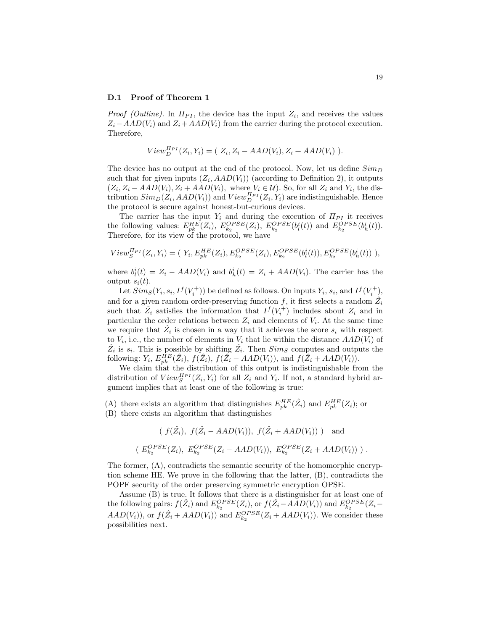#### D.1 Proof of Theorem 1

*Proof (Outline)*. In  $\Pi_{PI}$ , the device has the input  $Z_i$ , and receives the values  $Z_i - AAD(V_i)$  and  $Z_i + AAD(V_i)$  from the carrier during the protocol execution. Therefore,

$$
View_D^{I\!I_{PI}}(Z_i,Y_i) = (Z_i,Z_i - AAD(V_i),Z_i + AAD(V_i)).
$$

The device has no output at the end of the protocol. Now, let us define  $Sim_D$ such that for given inputs  $(Z_i, AAD(V_i))$  (according to Definition 2), it outputs  $(Z_i, Z_i - AAD(V_i), Z_i + AAD(V_i))$ , where  $V_i \in U$ ). So, for all  $Z_i$  and  $Y_i$ , the distribution  $Sim_D(Z_i, AAD(V_i))$  and  $View_D^{H_{PI}}(Z_i, Y_i)$  are indistinguishable. Hence the protocol is secure against honest-but-curious devices.

The carrier has the input  $Y_i$  and during the execution of  $\Pi_{PI}$  it receives the following values:  $E_{pk}^{HE}(Z_i)$ ,  $E_{k_2}^{OPSE}(Z_i)$ ,  $E_{k_2}^{OPSE}(b_l^i(t))$  and  $E_{k_2}^{OPSE}(b_h^i(t))$ . Therefore, for its view of the protocol, we have

$$
View_S^{I_{PI}}(Z_i, Y_i) = (Y_i, E_{pk}^{HE}(Z_i), E_{k_2}^{OPSE}(Z_i), E_{k_2}^{OPSE}(b_l^i(t)), E_{k_2}^{OPSE}(b_h^i(t))),
$$

where  $b_l^i(t) = Z_i - AAD(V_i)$  and  $b_h^i(t) = Z_i + AAD(V_i)$ . The carrier has the output  $s_i(t)$ .

Let  $Sim_S(Y_i, s_i, I^f(V_i^+))$  be defined as follows. On inputs  $Y_i$ ,  $s_i$ , and  $I^f(V_i^+)$ , and for a given random order-preserving function  $f$ , it first selects a random  $\hat{Z_i}$ such that  $\hat{Z}_i$  satisfies the information that  $I^f(V_i^+)$  includes about  $Z_i$  and in particular the order relations between  $Z_i$  and elements of  $V_i$ . At the same time we require that  $\hat{Z}_i$  is chosen in a way that it achieves the score  $s_i$  with respect to  $V_i$ , i.e., the number of elements in  $V_i$  that lie within the distance  $AAD(V_i)$  of  $\hat{Z}_i$  is  $s_i$ . This is possible by shifting  $\hat{Z}_i$ . Then  $Sim_S$  computes and outputs the following:  $Y_i$ ,  $E_{pk}^{\tilde{H}E}(\hat{Z}_i)$ ,  $f(\hat{Z}_i)$ ,  $f(\hat{Z}_i - AAD(V_i))$ , and  $f(\hat{Z}_i + AAD(V_i))$ .

We claim that the distribution of this output is indistinguishable from the distribution of  $View_S^{I_{PI}}(Z_i, Y_i)$  for all  $Z_i$  and  $Y_i$ . If not, a standard hybrid argument implies that at least one of the following is true:

(A) there exists an algorithm that distinguishes  $E_{pk}^{HE}(\hat{Z}_i)$  and  $E_{pk}^{HE}(Z_i)$ ; or (B) there exists an algorithm that distinguishes

$$
(f(\hat{Z}_i), f(\hat{Z}_i - AAD(V_i)), f(\hat{Z}_i + AAD(V_i)))
$$
 and  
\n $(E_{k_2}^{OPSE}(Z_i), E_{k_2}^{OPSE}(Z_i - AAD(V_i)), E_{k_2}^{OPSE}(Z_i + AAD(V_i)))$ .

The former, (A), contradicts the semantic security of the homomorphic encryption scheme HE. We prove in the following that the latter, (B), contradicts the POPF security of the order preserving symmetric encryption OPSE.

Assume (B) is true. It follows that there is a distinguisher for at least one of the following pairs:  $f(\hat{Z}_i)$  and  $E_{k_2}^{OPSE}(Z_i)$ , or  $f(\hat{Z}_i - AAD(V_i))$  and  $E_{k_2}^{OPSE}(Z_i - AAD(V_i))$  $AAD(V_i)$ , or  $f(\hat{Z}_i + AAD(V_i))$  and  $E_{k_2}^{OPSE}(Z_i + AAD(V_i))$ . We consider these possibilities next.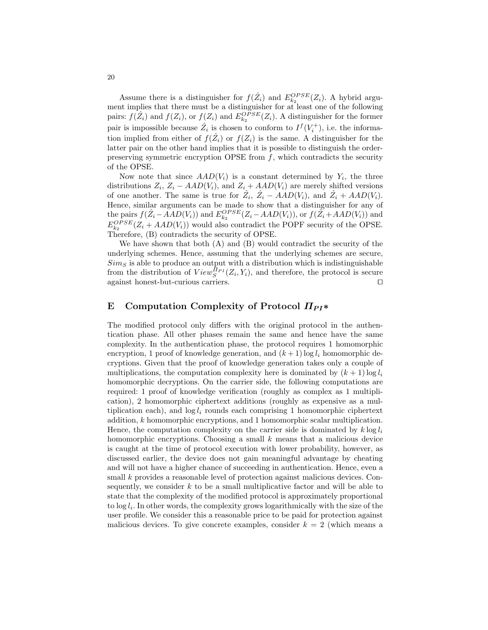Assume there is a distinguisher for  $f(\hat{Z}_i)$  and  $E_{k_2}^{OPSE}(Z_i)$ . A hybrid argument implies that there must be a distinguisher for at least one of the following pairs:  $f(\hat{Z}_i)$  and  $f(Z_i)$ , or  $f(Z_i)$  and  $E_{k_2}^{OPSE}(Z_i)$ . A distinguisher for the former pair is impossible because  $\hat{Z}_i$  is chosen to conform to  $I^f(V_i^+)$ , i.e. the information implied from either of  $f(\hat{Z}_i)$  or  $f(Z_i)$  is the same. A distinguisher for the latter pair on the other hand implies that it is possible to distinguish the orderpreserving symmetric encryption OPSE from  $f$ , which contradicts the security of the OPSE.

Now note that since  $AAD(V_i)$  is a constant determined by  $Y_i$ , the three distributions  $Z_i$ ,  $Z_i - AAD(V_i)$ , and  $Z_i + AAD(V_i)$  are merely shifted versions of one another. The same is true for  $\hat{Z}_i$ ,  $\hat{Z}_i - AAD(V_i)$ , and  $\hat{Z}_i + AAD(V_i)$ . Hence, similar arguments can be made to show that a distinguisher for any of the pairs  $f(\hat{Z}_i - \hat{A}AD(V_i))$  and  $E_{k_2}^{OPSE}(Z_i - AAD(V_i))$ , or  $f(\hat{Z}_i + AAD(V_i))$  and  $E_{k_2}^{OPSE}(Z_i + AAD(V_i))$  would also contradict the POPF security of the OPSE. Therefore, (B) contradicts the security of OPSE.

We have shown that both  $(A)$  and  $(B)$  would contradict the security of the underlying schemes. Hence, assuming that the underlying schemes are secure,  $Sim_S$  is able to produce an output with a distribution which is indistinguishable from the distribution of  $View_S^{I_{PI}}(Z_i, Y_i)$ , and therefore, the protocol is secure against honest-but-curious carriers.  $\Box$ 

# E Computation Complexity of Protocol  $\Pi_{PI}$ \*

The modified protocol only differs with the original protocol in the authentication phase. All other phases remain the same and hence have the same complexity. In the authentication phase, the protocol requires 1 homomorphic encryption, 1 proof of knowledge generation, and  $(k+1)$  log  $l_i$  homomorphic decryptions. Given that the proof of knowledge generation takes only a couple of multiplications, the computation complexity here is dominated by  $(k + 1) \log l_i$ homomorphic decryptions. On the carrier side, the following computations are required: 1 proof of knowledge verification (roughly as complex as 1 multiplication), 2 homomorphic ciphertext additions (roughly as expensive as a multiplication each), and  $\log l_i$  rounds each comprising 1 homomorphic ciphertext addition, k homomorphic encryptions, and 1 homomorphic scalar multiplication. Hence, the computation complexity on the carrier side is dominated by  $k \log l_i$ homomorphic encryptions. Choosing a small  $k$  means that a malicious device is caught at the time of protocol execution with lower probability, however, as discussed earlier, the device does not gain meaningful advantage by cheating and will not have a higher chance of succeeding in authentication. Hence, even a small k provides a reasonable level of protection against malicious devices. Consequently, we consider  $k$  to be a small multiplicative factor and will be able to state that the complexity of the modified protocol is approximately proportional to  $\log l_i$ . In other words, the complexity grows logarithmically with the size of the user profile. We consider this a reasonable price to be paid for protection against malicious devices. To give concrete examples, consider  $k = 2$  (which means a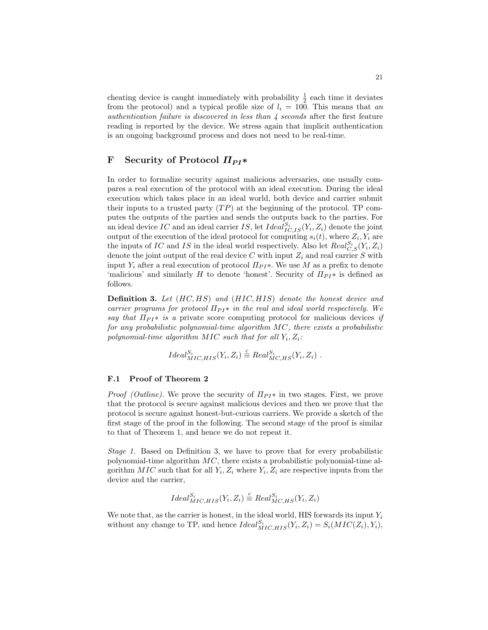cheating device is caught immediately with probability  $\frac{1}{2}$  each time it deviates from the protocol) and a typical profile size of  $l_i = 100$ . This means that an authentication failure is discovered in less than 4 seconds after the first feature reading is reported by the device. We stress again that implicit authentication is an ongoing background process and does not need to be real-time.

## F Security of Protocol  $\Pi_{PI}$ \*

In order to formalize security against malicious adversaries, one usually compares a real execution of the protocol with an ideal execution. During the ideal execution which takes place in an ideal world, both device and carrier submit their inputs to a trusted party  $(TP)$  at the beginning of the protocol. TP computes the outputs of the parties and sends the outputs back to the parties. For an ideal device IC and an ideal carrier IS, let  $Ideal_{IC,IS}^{S_i}(Y_i, Z_i)$  denote the joint output of the execution of the ideal protocol for computing  $s_i(t)$ , where  $Z_i, Y_i$  are the inputs of IC and IS in the ideal world respectively. Also let  $Real_{C,S}^{S_i}(Y_i, Z_i)$ denote the joint output of the real device C with input  $Z_i$  and real carrier S with input  $Y_i$  after a real execution of protocol  $\Pi_{PI}$ . We use M as a prefix to denote 'malicious' and similarly H to denote 'honest'. Security of  $\Pi_{PI}$  \* is defined as follows.

**Definition 3.** Let  $(HC, HS)$  and  $(HIC, HIS)$  denote the honest device and carrier programs for protocol  $\Pi_{PI} *$  in the real and ideal world respectively. We say that  $\Pi_{PI}$  is a private score computing protocol for malicious devices if for any probabilistic polynomial-time algorithm  $MC$ , there exists a probabilistic polynomial-time algorithm MIC such that for all  $Y_i, Z_i$ :

$$
Ideal_{MIC, HIS}^{S_i}(Y_i, Z_i) \stackrel{c}{\equiv} Real_{MC, HS}^{S_i}(Y_i, Z_i) .
$$

#### F.1 Proof of Theorem 2

*Proof (Outline)*. We prove the security of  $\Pi_{PI}$  \* in two stages. First, we prove that the protocol is secure against malicious devices and then we prove that the protocol is secure against honest-but-curious carriers. We provide a sketch of the first stage of the proof in the following. The second stage of the proof is similar to that of Theorem 1, and hence we do not repeat it.

Stage 1. Based on Definition 3, we have to prove that for every probabilistic polynomial-time algorithm MC, there exists a probabilistic polynomial-time algorithm  $MIC$  such that for all  $Y_i, Z_i$  where  $Y_i, Z_i$  are respective inputs from the device and the carrier,

$$
Ideal_{MIC, HIS}^{S_i}(Y_i, Z_i) \stackrel{c}{\equiv} Real_{MC, HS}^{S_i}(Y_i, Z_i)
$$

We note that, as the carrier is honest, in the ideal world, HIS forwards its input  $Y_i$ without any change to TP, and hence  $Ideal_{MIC, HIS}^{S_i}(Y_i, Z_i) = S_i(MIC(Z_i), Y_i),$